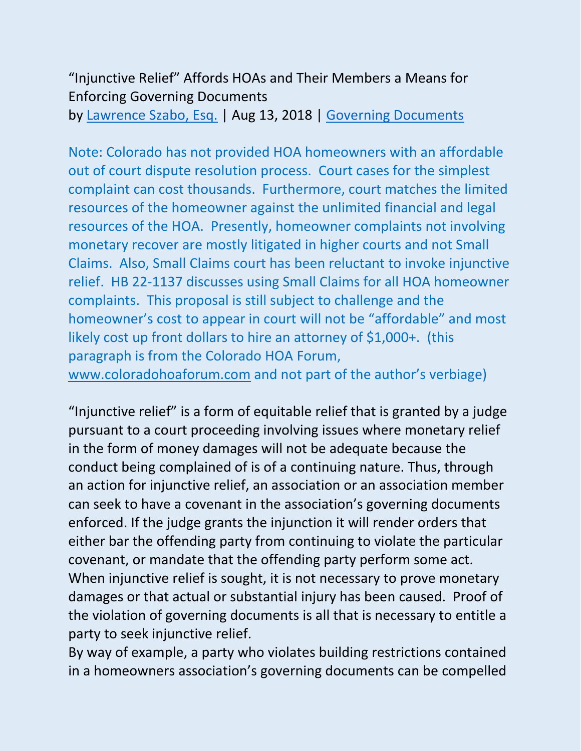## "Injunctive Relief" Affords HOAs and Their Members a Means for Enforcing Governing Documents by [Lawrence Szabo, Esq.](https://www.hoamemberservices.com/author/larry/) | Aug 13, 2018 | [Governing Documents](https://www.hoamemberservices.com/category/governing-documents/)

Note: Colorado has not provided HOA homeowners with an affordable out of court dispute resolution process. Court cases for the simplest complaint can cost thousands. Furthermore, court matches the limited resources of the homeowner against the unlimited financial and legal resources of the HOA. Presently, homeowner complaints not involving monetary recover are mostly litigated in higher courts and not Small Claims. Also, Small Claims court has been reluctant to invoke injunctive relief. HB 22-1137 discusses using Small Claims for all HOA homeowner complaints. This proposal is still subject to challenge and the homeowner's cost to appear in court will not be "affordable" and most likely cost up front dollars to hire an attorney of \$1,000+. (this paragraph is from the Colorado HOA Forum,

[www.coloradohoaforum.com](http://www.coloradohoaforum.com/) and not part of the author's verbiage)

"Injunctive relief" is a form of equitable relief that is granted by a judge pursuant to a court proceeding involving issues where monetary relief in the form of money damages will not be adequate because the conduct being complained of is of a continuing nature. Thus, through an action for injunctive relief, an association or an association member can seek to have a covenant in the association's governing documents enforced. If the judge grants the injunction it will render orders that either bar the offending party from continuing to violate the particular covenant, or mandate that the offending party perform some act. When injunctive relief is sought, it is not necessary to prove monetary damages or that actual or substantial injury has been caused. Proof of the violation of governing documents is all that is necessary to entitle a party to seek injunctive relief.

By way of example, a party who violates building restrictions contained in a homeowners association's governing documents can be compelled